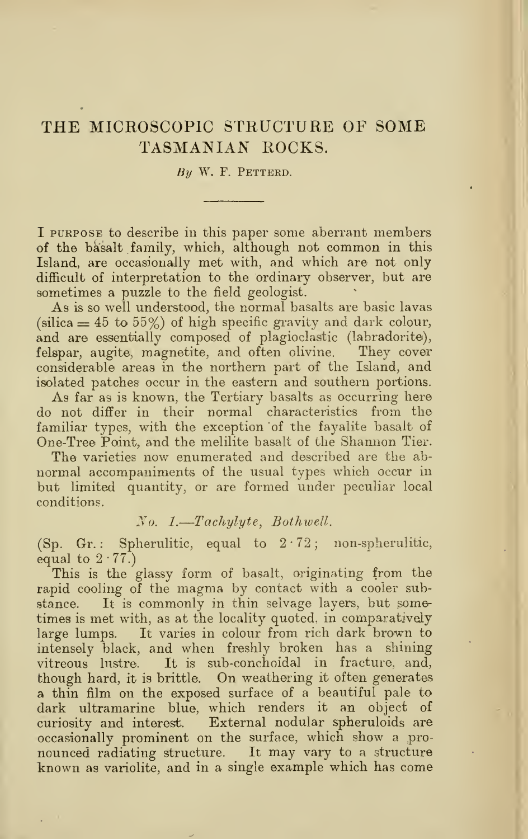## THE MICROSCOPIC STRUCTURE OF SOME TASMANIAN ROCKS.

### $By$  W. F. PETTERD.

I PURPOSE to describe in this paper some aberrant members of the basalt family, which, although not common in this Island, are occasionally met with, and which are not only difficult of interpretation to the ordinary observer, but are sometimes a puzzle to the field geologist.

As is so well understood, the normal basalts are basic lavas (silica  $= 45$  to  $55\%$ ) of high specific gravity and dark colour, and are essentially composed of plagioclastic (labradorite), felspar, augite, magnetite, and often olivine. They cover felspar, augite, magnetite, and often olivine. considerable areas in the northern part of the Island, and isolated patches occur in the eastern and southern portions.

As far as is known, the Tertiary basalts as occurring here do not differ in their normal characteristics from the familiar types, with the exception of the fayalite basalt of One-Tree Point, and the melilite basalt of the Shannon Tier.

The varieties now enumerated and described are the abnormal accompaniments of the usual types which occur in but limited quantity, or are formed under peculiar local conditions.

## No. 1.—Tachylyte, Bothwell.

(Sp. Gr.: Spherulitic, equal to  $2.72$ ; non-spherulitic, equal to  $2 \cdot 77$ .

This is the glassy form of basalt, originating from the rapid cooling of the magma by contact with <sup>a</sup> cooler substance. It is commonly in thin selvage layers, but sometimes is met with, as at the locality quoted, in comparatively large lumps. It varies in colour from rich dark brown to intensely black, and when freshly broken has a shining vitreous lustre. It is sub-conchoidal in fracture, and, though hard, it is brittle. On weathering it often generates a thin film on the exposed surface of a beautiful pale to dark ultramarine blue, which renders it an object of curiosity and interest. External nodular spheruloids are occasionally prominent on the surface, which show a pronounced radiating structure. It may vary to <sup>a</sup> structure known as variolite, and in a single example which has come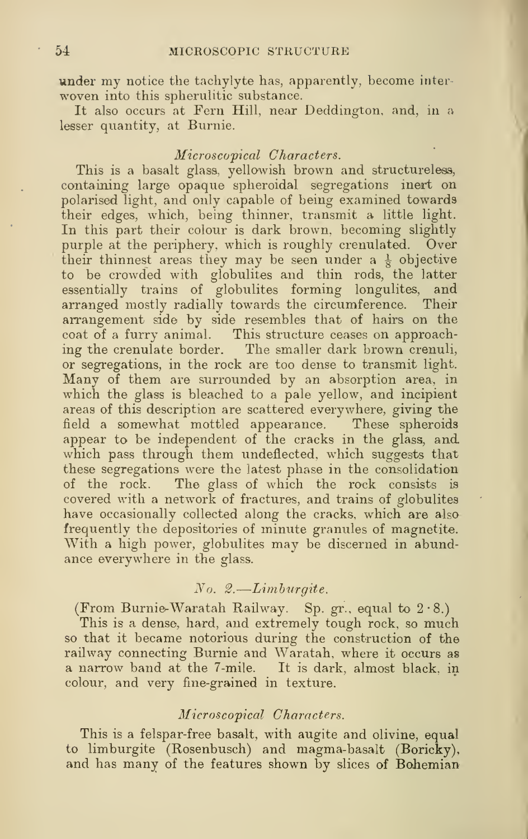under my notice the tachylyte has, apparently, become interwoven into this spherulitic substance.

It also occurs at Fern Hill, near Deddington, and, in a lesser quantity, at Burnie.

## Microscopical Characters.

This is a basalt glass, yellowish brown and structureless, containing large opaque spheroidal segregations inert on polarised light, and only capable of being examined towards their edges, which, being thinner, transmit a little light. In this part their colour is dark brown, becoming slightly purple at the periphery, which is roughly crenulated. Over their thinnest areas they may be seen under a  $\frac{1}{8}$  objective to be crowded with globulites and thin rods, the latter essentially trains of globulites forming longulites, and arranged mostly radially towards the circumference. Their arrangement side by side resembles that of hairs on the coat of a furry animal. This structure ceases on approaching the crenulate border. The smaller dark brown crenuli, or segregations, in the rock are too dense to transmit light. Many of them are surrounded by an absorption area, in which the glass is bleached to a pale yellow, and incipient areas of this description are scattered everywhere, giving the field a somewhat mottled appearance. These spheroids appear to be independent of the cracks in the glass, and which pass through them undeflected, which suggests that these segregations were the latest phase in the consolidation of the rock. The glass of which the rock consists is covered with a network of fractures, and trains of globulites have occasionally collected along the cracks, which are also frequently the depositories of minute granules of magnetite. With a high power, globulites may be discerned in abundance everywhere in the glass.

## No. 2. —Limhurgite.

(From Burnie-Waratah Railway. Sp. gr., equal to  $2.8$ .)

This is a dense, hard, and extremely tough rock, so much so that it became notorious during the construction of the railway connecting Burnie and Waratah, where it occurs as a narrow band at the 7-mile. It is dark, almost black, in colour, and very fine-grained in texture.

### Microscopical Characters.

This is a felspar-free basalt, with augite and olivine, equal to limburgite (Rosenbusch) and magma-basalt (Boricky), and has many of the features shown by slices of Bohemian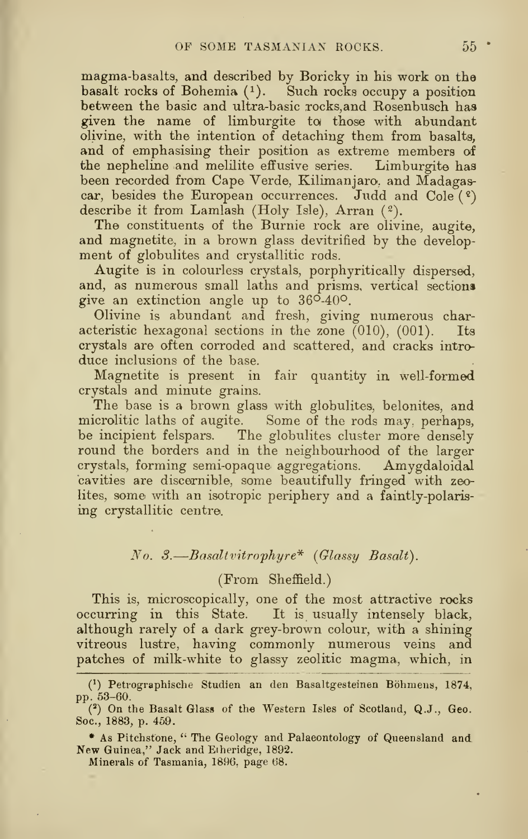magma-basalts, and described by Boricky in his work on the basalt rocks of Bohemia  $(1)$ . Such rocks occupy a position between the basic and ultra-basic rocks,and Rosenbusch has given the name of limburgite to; those with abundant olivine, with the intention of detaching them from basalts, and of emphasising their position as extreme members of the nepheline and melilite effusive series. Limburgite has been recorded from Cape Verde, Kilimanjaro, and Madagascar, besides the European occurrences. Judd and Cole  $(2)$ describe it from Lamlash (Holy Isle), Arran (2).

The constituents of the Burnie rock are olivine, augite, and magnetite, in a brown glass devitrified by the development of globulites and crystallitic rods.

Augite is in colourless crystals, porphyritically dispersed, and, as numerous small laths and prisms, vertical sections give an extinction angle up to  $36^{\circ} \cdot 40^{\circ}$ .

Olivine is abundant and fresh, giving numerous characteristic hexagonal sections in the zone  $(010)$ ,  $(001)$ . Its crystals are often corroded and scattered, and cracks introduce inclusions of the base.

Magnetite is present in fair quantity in well-formed crystals and minute grains.

The base is a brown glass with globulites, belonites, and microlitic laths of augite. Some of the rods may. perhaps, be incipient felspars. The globulites cluster more densely round the borders and in the neighbourhood of the larger crystals, forming semi-opaque aggregations. Amygdaloidal cavities are discernible, some beautifully fringed with zeolites, some with an isotropic periphery and a faintly-polarising crystallitic centre.

## No. 3. —Basaltvitrophyre\* (Glassy Basalt).

## (From Sheffield.)

This is, microscopically, one of the most attractive rocks occurring in this State. It is usually intensely black, although rarely of a dark grey-brown colour, with a shining vitreous lustre, having commonly numerous veins and patches of milk-white to glassy zeolitic magma, which, in

\* As Pitchsfone, " The Geology and Palaeontology of Queensland and New Guinea," Jack and Eiheridge, 1892.

Minerals of Tasmania, 1896. page 68.

<sup>(^)</sup> Petrographische Studien an den Basaltgesteinen Bohniens, 1874, pp. 53-60.

 $(2)$  On the Basalt Glass of the Western Isles of Scotland, Q.J., Geo. Soc, 1883, p. 459.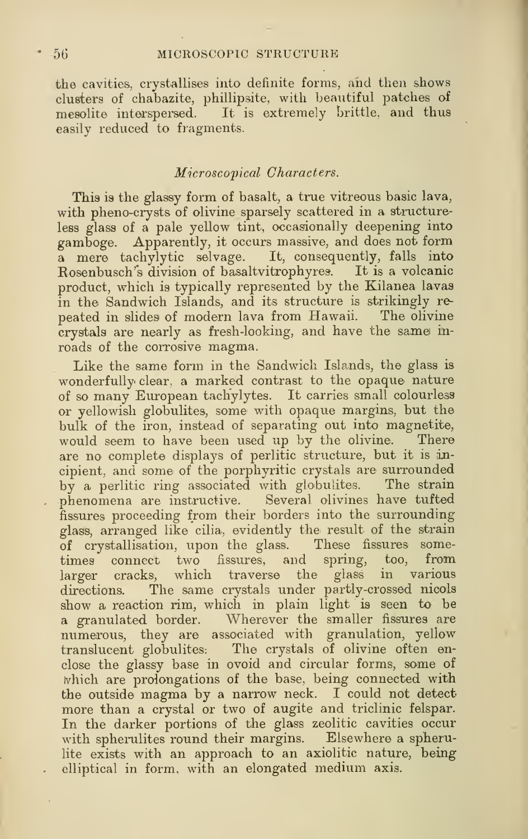the cavities, crystallises into definite forms, and then shows clusters of chabazite, phillipsite, with beautiful patches of mesolite interspersed. It is extremely brittle, and thus easily reduced to fiagments.

## Microscopical Characters.

This is the glassy form of basalt, a true vitreous basic lava, with pheno-crysts of olivine sparsely scattered in a structureless glass of a pale yellow tint, occasionally deepening into gamboge. Apparently, it occurs massive, and does not form a mere tachylytic selvage. It, consequently, falls into Rosenbusch's division of basaltvitrophyres. It is a volcanic product, which is typically represented by the Kilanea lavas in the Sandwich Islands, and its structure is strikingly re peated in slides of modern lava from Hawaii. The olivine crystals are nearly as fresh-looking, and have the same inroads of the corrosive magma.

Like the same form in the Sandwich Islands, the glass is wonderfully clear, a marked contrast to the opaque nature of so many European tach'ylytes. It carries small colourless or yellowish globulites, some with opaque margins, but the bulk of the iron, instead of separating out into magnetite, would seem to have been used up by the olivine. There are no complete displays of perlitic structure, but it is incipient, and some of the porphyritic crystals are surrounded by a perlitic ring associated with globulites. The strain phenomena are instructive. Several olivines have tufted fissures proceeding from their borders into the surrounding glass, arranged like cilia, evidently the result of the strain of crystallisation, upon the glass. These fissures sometimes connect two fissures, and spring, too, from larger cracks, which traverse the glass in various directions. The same crystals under partly-crossed nicols show a reaction rim, which in plain light is seen to be a granulated border. Wherever the smaller fissures are numerous, they are associated with granulation, yellow translucent globulites: The crystals of olivine often enclose the glassy base in ovoid and circular forms, some of ivhich are prolongations of the base, being connected with the outside magma by <sup>a</sup> narrow neck. <sup>I</sup> could not detect more than a crystal or two of augite and triclinic felspar. In the darker portions of the glass zeolitic cavities occur with spherulites round their margins. Elsewhere a spherulite exists with an approach to an axiolitic nature, being elliptical in form, with an elongated medium axis.